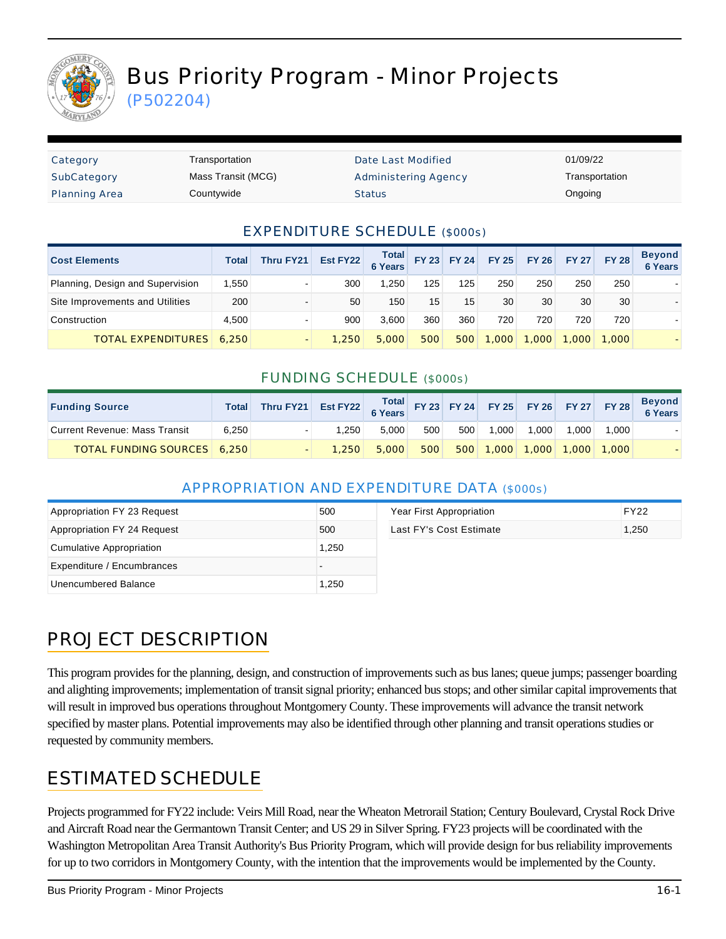

# Bus Priority Program - Minor Projects

(P502204)

| Category             | Transportation     | Date Last Modified          | 01/09/22       |
|----------------------|--------------------|-----------------------------|----------------|
| SubCategory          | Mass Transit (MCG) | <b>Administering Agency</b> | Transportation |
| <b>Planning Area</b> | Countywide         | <b>Status</b>               | Ongoing        |

#### EXPENDITURE SCHEDULE (\$000s)

| <b>Cost Elements</b>             | Total | <b>Thru FY21</b>         | Est FY22 | <b>Total</b><br><b>6 Years</b> |     | FY 23 FY 24 | <b>FY 25</b> | <b>FY 26</b> | <b>FY 27</b> | <b>FY 28</b> | <b>Beyond</b><br><b>6 Years</b> |
|----------------------------------|-------|--------------------------|----------|--------------------------------|-----|-------------|--------------|--------------|--------------|--------------|---------------------------------|
| Planning, Design and Supervision | 1,550 |                          | 300      | .250                           | 125 | 125         | 250          | 250          | 250          | 250          |                                 |
| Site Improvements and Utilities  | 200   | $\blacksquare$           | 50       | 150                            | 15  | 15          | 30           | 30           | 30           | 30           |                                 |
| Construction                     | 4.500 | $\overline{\phantom{0}}$ | 900      | 3.600                          | 360 | 360         | 720          | 720          | 720          | 720          |                                 |
| <b>TOTAL EXPENDITURES</b>        | 6,250 |                          | 1.250    | 5,000                          | 500 | 500         | ,000         | .000         | 1.000        | 1.000        |                                 |

#### FUNDING SCHEDULE (\$000s)

| <b>Funding Source</b>              | Total | Thru FY21 Est FY22 Total FY 23 FY 24 FY 25 FY 26 FY 27 FY 28 |       |       |     |     |                             |       |       |       | <b>Beyond</b><br>6 Years |
|------------------------------------|-------|--------------------------------------------------------------|-------|-------|-----|-----|-----------------------------|-------|-------|-------|--------------------------|
| Current Revenue: Mass Transit      | 6.250 |                                                              | 1.250 | 5.000 | 500 | 500 | 1.000                       | 1.000 | 1.000 | 1.000 |                          |
| <b>TOTAL FUNDING SOURCES</b> 6,250 |       |                                                              | 1.250 | 5.000 | 500 |     | 500 1,000 1,000 1,000 1,000 |       |       |       |                          |

#### APPROPRIATION AND EXPENDITURE DATA (\$000s)

| Appropriation FY 23 Request | 500   | Year First Appropriation | <b>FY22</b> |
|-----------------------------|-------|--------------------------|-------------|
| Appropriation FY 24 Request | 500   | Last FY's Cost Estimate  | 1,250       |
| Cumulative Appropriation    | 1,250 |                          |             |
| Expenditure / Encumbrances  |       |                          |             |
| Unencumbered Balance        | 1,250 |                          |             |

# PROJECT DESCRIPTION

This program provides for the planning, design, and construction of improvements such as bus lanes; queue jumps; passenger boarding and alighting improvements; implementation of transit signal priority; enhanced bus stops; and other similar capital improvements that will result in improved bus operations throughout Montgomery County. These improvements will advance the transit network specified by master plans. Potential improvements may also be identified through other planning and transit operations studies or requested by community members.

### ESTIMATED SCHEDULE

Projects programmed for FY22 include: Veirs Mill Road, near the Wheaton Metrorail Station; Century Boulevard, Crystal Rock Drive and Aircraft Road near the Germantown Transit Center; and US 29 in Silver Spring. FY23 projects will be coordinated with the Washington Metropolitan Area Transit Authority's Bus Priority Program, which will provide design for bus reliability improvements for up to two corridors in Montgomery County, with the intention that the improvements would be implemented by the County.